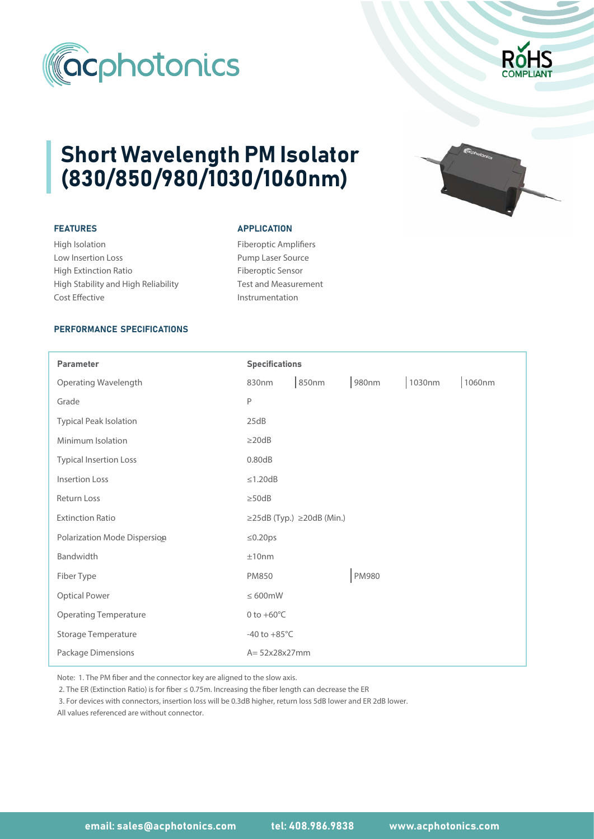



# Short Wavelength PM Isolator (830/850/980/1030/1060nm)

## FEATURES

High Isolation Low Insertion Loss High Extinction Ratio High Stability and High Reliability Cost Effective

### **APPLICATION**

Fiberoptic Amplifiers Pump Laser Source Fiberoptic Sensor Test and Measurement Instrumentation



## PERFORMANCE SPECIFICATIONS

| <b>Parameter</b>              | <b>Specifications</b>  |                                       |              |        |        |
|-------------------------------|------------------------|---------------------------------------|--------------|--------|--------|
| Operating Wavelength          | 830nm                  | 850nm                                 | 980nm        | 1030nm | 1060nm |
| Grade                         | P                      |                                       |              |        |        |
| <b>Typical Peak Isolation</b> | 25dB                   |                                       |              |        |        |
| Minimum Isolation             | $\geq$ 20dB            |                                       |              |        |        |
| <b>Typical Insertion Loss</b> | 0.80dB                 |                                       |              |        |        |
| <b>Insertion Loss</b>         | $\leq$ 1.20dB          |                                       |              |        |        |
| <b>Return Loss</b>            | $\geq$ 50dB            |                                       |              |        |        |
| <b>Extinction Ratio</b>       |                        | $\geq$ 25dB (Typ.) $\geq$ 20dB (Min.) |              |        |        |
| Polarization Mode Dispersion  | $\leq 0.20$ ps         |                                       |              |        |        |
| Bandwidth                     | ±10nm                  |                                       |              |        |        |
| Fiber Type                    | <b>PM850</b>           |                                       | <b>PM980</b> |        |        |
| <b>Optical Power</b>          | $\leq 600$ mW          |                                       |              |        |        |
| <b>Operating Temperature</b>  | 0 to $+60^{\circ}$ C   |                                       |              |        |        |
| <b>Storage Temperature</b>    | -40 to $+85^{\circ}$ C |                                       |              |        |        |
| Package Dimensions            | $A = 52x28x27mm$       |                                       |              |        |        |

Note: 1. The PM fiber and the connector key are aligned to the slow axis.

2. The ER (Extinction Ratio) is for fiber ≤ 0.75m. Increasing the fiber length can decrease the ER

3. For devices with connectors, insertion loss will be 0.3dB higher, return loss 5dB lower and ER 2dB lower.

All values referenced are without connector.